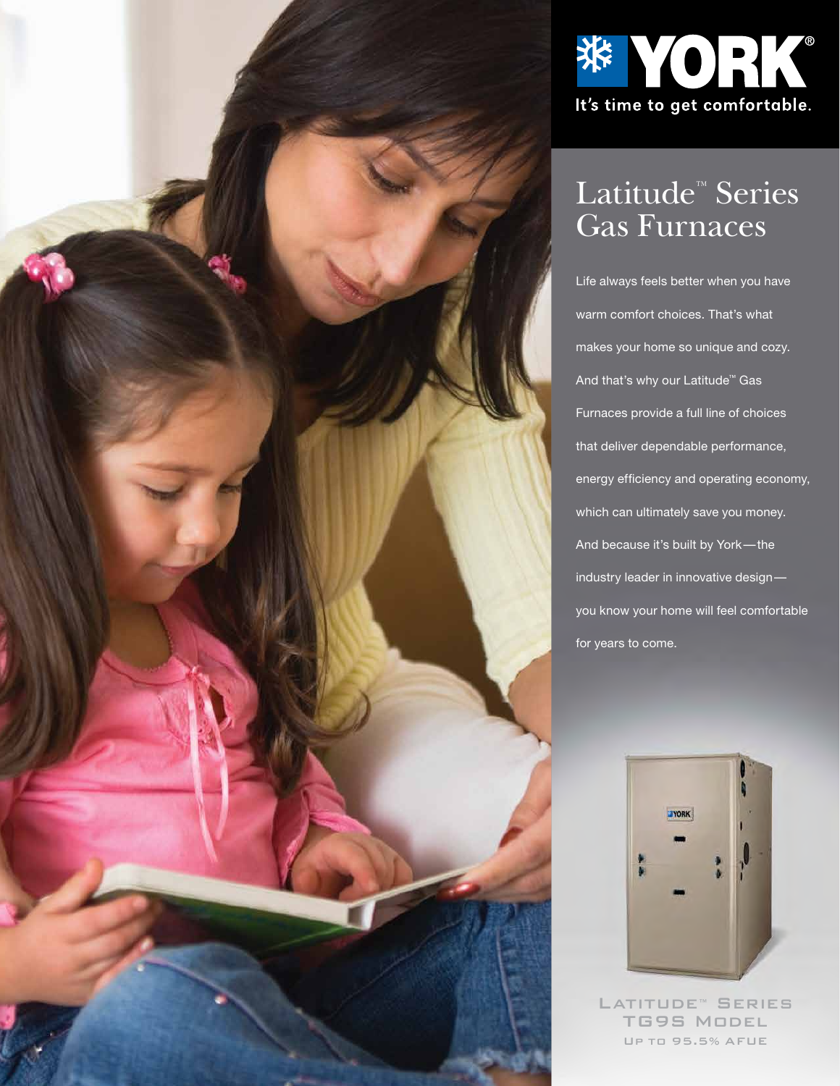



# Latitude™ Series Gas Furnaces

Life always feels better when you have warm comfort choices. That's what makes your home so unique and cozy. And that's why our Latitude™ Gas Furnaces provide a full line of choices that deliver dependable performance, energy efficiency and operating economy, which can ultimately save you money. And because it's built by York — the industry leader in innovative design you know your home will feel comfortable for years to come.



LATITUDE™ SERIES TG9S MODEL UP TO 95.5% AFUE